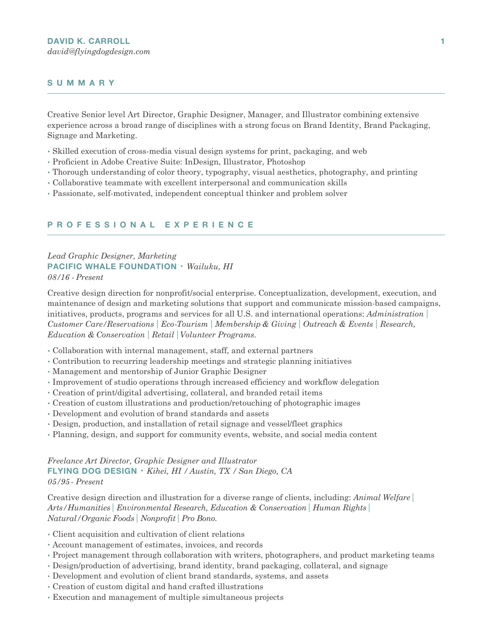## **SUMMARY**

Creative Senior level Art Director, Graphic Designer, Manager, and Illustrator combining extensive experience across a broad range of disciplines with a strong focus on Brand Identity, Brand Packaging, Signage and Marketing.

- Skilled execution of cross-media visual design systems for print, packaging, and web
- •Proficient in Adobe Creative Suite: InDesign, Illustrator, Photoshop
- •Thorough understanding of color theory, typography, visual aesthetics, photography, and printing
- Collaborative teammate with excellent interpersonal and communication skills
- •Passionate, self-motivated, independent conceptual thinker and problem solver

#### **PROFESSIONAL EXPERIENCE**

# *Lead Graphic Designer, Marketing* **PACIFIC WHALE FOUNDATION** • *Wailuku, HI*

*08/16 - Present* 

Creative design direction for nonprofit/social enterprise. Conceptualization, development, execution, and maintenance of design and marketing solutions that support and communicate mission-based campaigns, initiatives, products, programs and services for all U.S. and international operations: *Administration| Customer Care/Reservations| Eco-Tourism| Membership & Giving| Outreach & Events| Research, Education & Conservation| Retail|Volunteer Programs*.

- Collaboration with internal management, staff, and external partners
- Contribution to recurring leadership meetings and strategic planning initiatives
- Management and mentorship of Junior Graphic Designer
- Improvement of studio operations through increased efficiency and workflow delegation
- Creation of print/digital advertising, collateral, and branded retail items
- Creation of custom illustrations and production/retouching of photographic images
- Development and evolution of brand standards and assets
- Design, production, and installation of retail signage and vessel/fleet graphics
- •Planning, design, and support for community events, website, and social media content

### *Freelance Art Director, Graphic Designer and Illustrator* **FLYING DOG DESIGN** • *Kihei, HI / Austin, TX /San Diego, CA 05/95 - Present*

Creative design direction and illustration for a diverse range of clients, including: *Animal Welfare| Arts/Humanities| Environmental Research, Education & Conservation| Human Rights| Natural/Organic Foods| Nonprofit| Pro Bono.*

- Client acquisition and cultivation of client relations
- Account management of estimates, invoices, and records
- •Project management through collaboration with writers, photographers, and product marketing teams
- Design/production of advertising, brand identity, brand packaging, collateral, and signage
- Development and evolution of client brand standards, systems, and assets
- Creation of custom digital and hand crafted illustrations
- Execution and management of multiple simultaneous projects